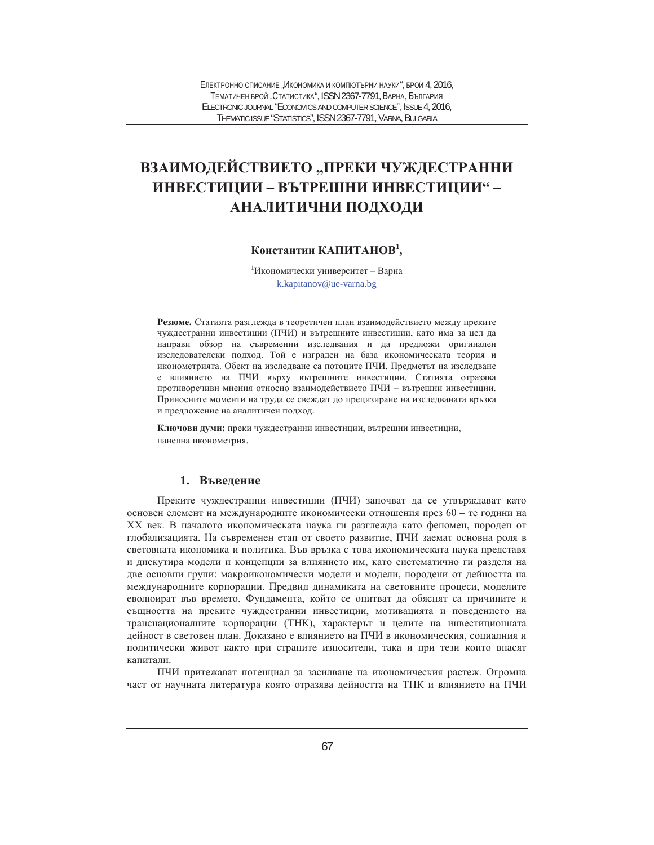# ВЗАИМОДЕЙСТВИЕТО "ПРЕКИ ЧУЖДЕСТРАННИ ИНВЕСТИЦИИ – ВЪТРЕШНИ ИНВЕСТИЦИИ" – АНАЛИТИЧНИ ПОДХОДИ

## Константин КАПИТАНОВ<sup>1</sup>,

 $1$ Икономически университет - Варна k.kapitanov@ue-varna.bg

Резюме. Статията разглежда в теоретичен план взаимодействието между преките чуждестранни инвестиции (ПЧИ) и вътрешните инвестиции, като има за цел да направи обзор на съвременни изследвания и да предложи оригинален изследователски подход. Той е изграден на база икономическата теория и иконометрията. Обект на изследване са потоците ПЧИ. Предметът на изследване е влиянието на ПЧИ върху вътрешните инвестиции. Статията отразява противоречиви мнения относно взаимодействието ПЧИ - вътрешни инвестиции. Приносните моменти на труда се свеждат до прецизиране на изследваната връзка и предложение на аналитичен подход.

Ключови думи: преки чуждестранни инвестиции, вътрешни инвестиции, панелна иконометрия.

### 1. Въведение

Преките чуждестранни инвестиции (ПЧИ) започват да се утвърждават като основен елемент на международните икономически отношения през 60 – те години на XX век. В началото икономическата наука ги разглежда като феномен, породен от глобализацията. На съвременен етап от своето развитие, ПЧИ заемат основна роля в световната икономика и политика. Във връзка с това икономическата наука представя и дискутира модели и концепции за влиянието им, като систематично ги разделя на две основни групи: макроикономически модели и модели, породени от дейността на международните корпорации. Предвид динамиката на световните процеси, моделите еволюират във времето. Фундамента, който се опитват да обяснят са причините и същността на преките чуждестранни инвестиции, мотивацията и поведението на транснационалните корпорации (ТНК), характерът и целите на инвестиционната дейност в световен план. Доказано е влиянието на ПЧИ в икономическия, социалния и политически живот както при страните износители, така и при тези които внасят капитали

ПЧИ притежават потенциал за засилване на икономическия растеж. Огромна част от научната литература която отразява дейността на ТНК и влиянието на ПЧИ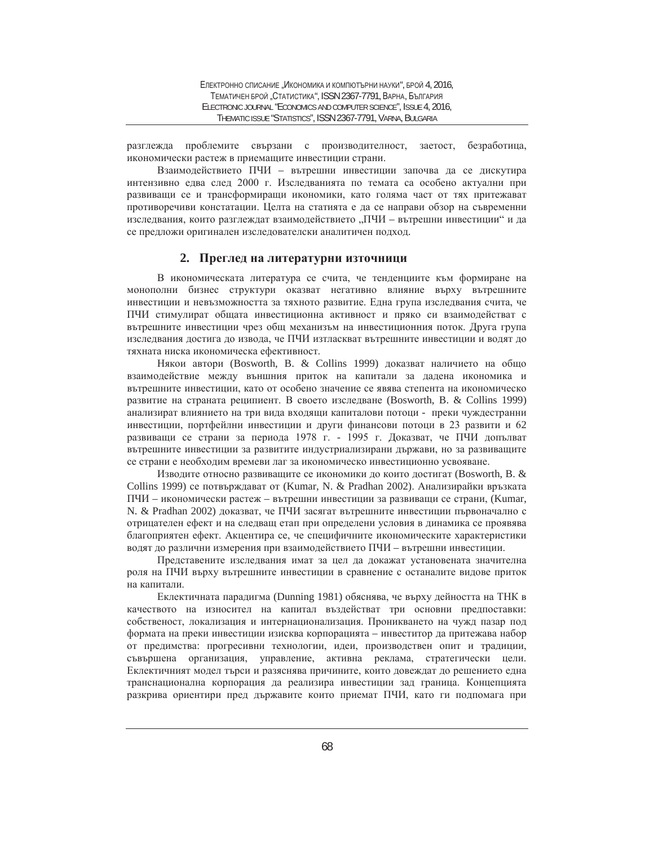разглежда проблемите свързани с производителност, заетост, безработица, икономически растеж в приемащите инвестиции страни.

Взаимодействието ПЧИ – вътрешни инвестиции започва да се дискутира интензивно едва след 2000 г. Изследванията по темата са особено актуални при развиващи се и трансформиращи икономики, като голяма част от тях притежават противоречиви констатации. Целта на статията е да се направи обзор на съвременни изследвания, които разглеждат взаимодействието "ПЧИ - вътрешни инвестиции" и да се предложи оригинален изследователски аналитичен подход.

#### 2. Преглед на литературни източници

В икономическата литература се счита, че тенденциите към формиране на монополни бизнес структури оказват негативно влияние върху вътрешните инвестиции и невъзможността за тяхното развитие. Една група изследвания счита, че ПЧИ стимулират общата инвестиционна активност и пряко си взаимодействат с вътрешните инвестиции чрез общ механизъм на инвестиционния поток. Друга група изследвания достига до извода, че ПЧИ изтласкват вътрешните инвестиции и водят до тяхната ниска икономическа ефективност.

Някои автори (Bosworth, B. & Collins 1999) доказват наличието на общо взаимодействие между външния приток на капитали за дадена икономика и вътрешните инвестиции, като от особено значение се явява степента на икономическо развитие на страната реципиент. В своето изследване (Bosworth, B. & Collins 1999) анализират влиянието на три вида входящи капиталови потоци - преки чуждестранни инвестиции, портфейлни инвестиции и други финансови потоци в 23 развити и 62 развиващи се страни за периода 1978 г. - 1995 г. Доказват, че ПЧИ допълват вътрешните инвестиции за развитите индустриализирани държави, но за развиващите се страни е необходим времеви лаг за икономическо инвестиционно усвояване.

Изводите относно развиващите се икономики до които достигат (Bosworth, B. & Collins 1999) се потвърждават от (Kumar, N. & Pradhan 2002). Анализирайки връзката ПЧИ – икономически растеж – вътрешни инвестиции за развиващи се страни, (Kumar, N. & Pradhan 2002) доказват, че ПЧИ засягат вътрешните инвестиции първоначално с отрицателен ефект и на следващ етап при определени условия в динамика се проявява благоприятен ефект. Акцентира се, че специфичните икономическите характеристики водят до различни измерения при взаимодействието ПЧИ - вътрешни инвестиции.

Представените изследвания имат за цел да докажат установената значителна роля на ПЧИ върху вътрешните инвестиции в сравнение с останалите видове приток на капитали.

Еклектичната парадигма (Dunning 1981) обяснява, че върху дейността на ТНК в качеството на износител на капитал въздействат три основни предпоставки: собственост, локализация и интернационализация. Проникването на чужд пазар под формата на преки инвестиции изисква корпорацията – инвеститор да притежава набор от предимства: прогресивни технологии, идеи, производствен опит и традиции, съвършена организация, управление, активна реклама, стратегически цели. Еклектичният модел търси и разяснява причините, които довеждат до решението една транснационална корпорация да реализира инвестиции зад граница. Концепцията разкрива ориентири пред държавите които приемат ПЧИ, като ги подпомага при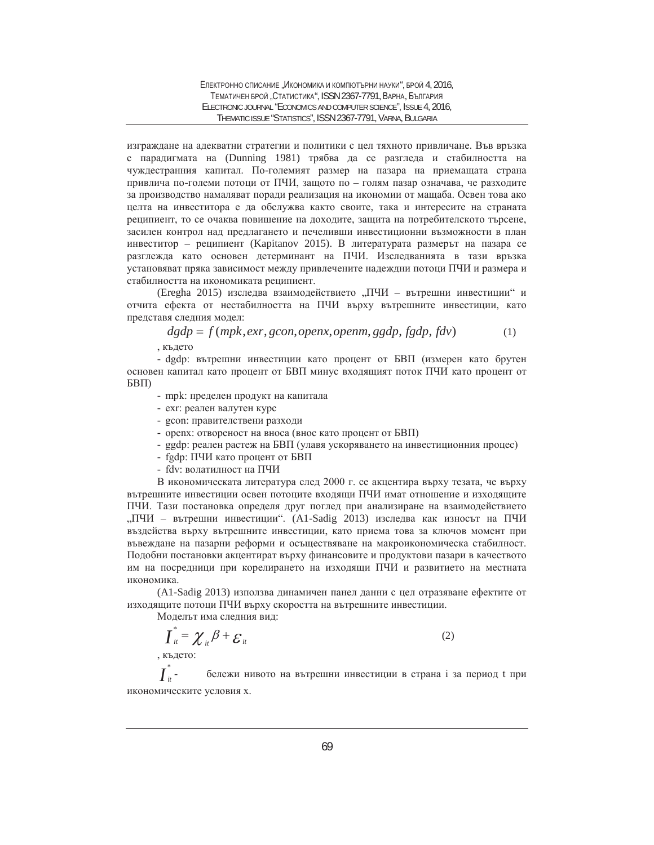изграждане на адекватни стратегии и политики с цел тяхното привличане. Във връзка с парадигмата на (Dunning 1981) трябва да се разгледа и стабилността на чуждестранния капитал. По-големият размер на пазара на приемащата страна привлича по-големи потоци от ПЧИ, защото по - голям пазар означава, че разходите за производство намаляват поради реализация на икономии от мащаба. Освен това ако целта на инвеститора е да обслужва както своите, така и интересите на страната реципиент, то се очаква повишение на доходите, защита на потребителското търсене, засилен контрол над предлагането и печеливши инвестиционни възможности в план инвеститор – реципиент (Kapitanov 2015). В литературата размерът на пазара се разглежда като основен детерминант на ПЧИ. Изследванията в тази връзка установяват пряка зависимост между привлечените надеждни потоци ПЧИ и размера и стабилността на икономиката реципиент.

(Eregha 2015) изследва взаимодействието "ПЧИ – вътрешни инвестиции" и отчита ефекта от нестабилността на ПЧИ върху вътрешните инвестиции, като представя следния модел:

$$
dgdp = f(mpk, \text{exr}, \text{gcon}, \text{openx}, \text{openm}, \text{ggdp}, \text{fgdp}, \text{fdv}) \tag{1}
$$
\n
$$
Kbqero
$$

- dgdp: вътрешни инвестиции като процент от БВП (измерен като брутен основен капитал като процент от БВП минус входящият поток ПЧИ като процент от БВП)

- mpk: пределен продукт на капитала
- ехг: реален валутен курс
- gcon: правителствени разходи
- орепх: отвореност на вноса (внос като процент от БВП)
- ggdp: реален растеж на БВП (улавя ускоряването на инвестиционния процес)
- fgdp: ПЧИ като процент от БВП
- fdv: волатилност на ПЧИ

В икономическата литература след 2000 г. се акцентира върху тезата, че върху вътрешните инвестиции освен потоците входящи ПЧИ имат отношение и изходящите ПЧИ. Тази постановка определя друг поглед при анализиране на взаимодействието "ПЧИ – вътрешни инвестиции". (A1-Sadig 2013) изследва как износът на ПЧИ въздейства върху вътрешните инвестиции, като приема това за ключов момент при въвеждане на пазарни реформи и осъществяване на макроикономическа стабилност. Подобни постановки акцентират върху финансовите и продуктови пазари в качеството им на посредници при корелирането на изходящи ПЧИ и развитието на местната икономика.

(A1-Sadig 2013) използва динамичен панел данни с цел отразяване ефектите от изходящите потоци ПЧИ върху скоростта на вътрешните инвестиции.

Моделът има следния вид:

$$
\underline{\boldsymbol{I}}_{it}^* = \boldsymbol{\chi}_{it} \boldsymbol{\beta} + \boldsymbol{\varepsilon}_{it}
$$
\n(2)

\nKLATEC:

 $\overline{I}^*_\scriptscriptstyle \hspace{-0.1em}i t$ бележи нивото на вътрешни инвестиции в страна i за период t при икономическите условия х.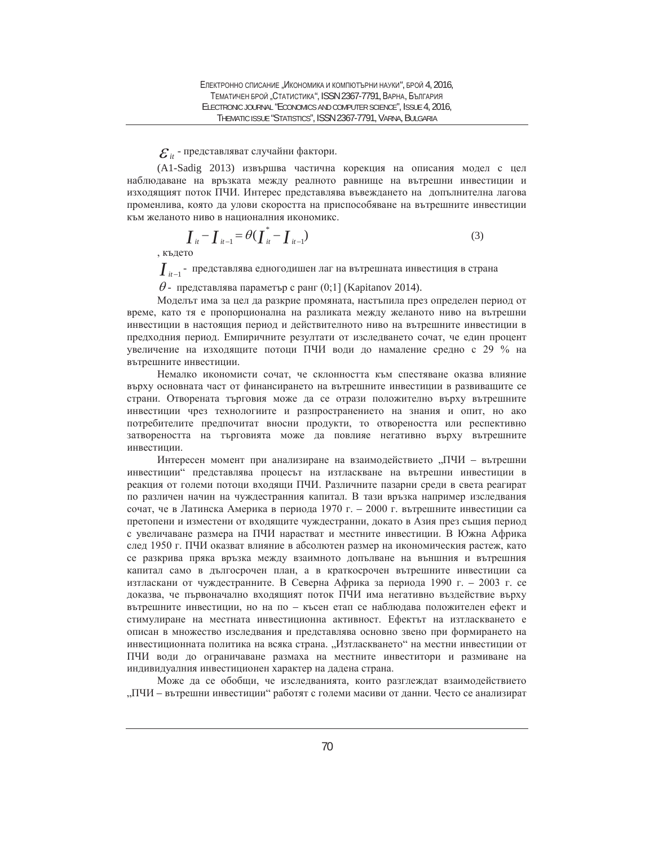$E_{it}$  - представляват случайни фактори.

(A1-Sadig 2013) извършва частична корекция на описания модел с цел наблюдаване на връзката между реалното равнище на вътрешни инвестиции и изходящият поток ПЧИ. Интерес представлява въвеждането на допълнителна лагова променлива, която да улови скоростта на приспособяване на вътрешните инвестиции към желаното ниво в националния икономикс.

$$
\boldsymbol{I}_{it} - \boldsymbol{I}_{it-1} = \theta(\boldsymbol{I}_{it}^* - \boldsymbol{I}_{it-1})
$$
\n(3)

, където

*I<sub>it*-1</sub> - представлява едногодишен лаг на вътрешната инвестиция в страна

 $\theta$  - представлява параметър с ранг (0;1] (Kapitanov 2014).

Моделът има за цел да разкрие промяната, настъпила през определен период от време, като тя е пропорционална на разликата между желаното ниво на вътрешни инвестиции в настоящия период и действителното ниво на вътрешните инвестиции в предходния период. Емпиричните резултати от изследването сочат, че един процент үвеличение на изходящите потоци ПЧИ води до намаление средно с 29 % на вътрешните инвестиции.

Немалко икономисти сочат, че склонността към спестяване оказва влияние върху основната част от финансирането на вътрешните инвестиции в развиващите се страни. Отворената търговия може да се отрази положително върху вътрешните инвестиции чрез технологиите и разпространението на знания и опит, но ако потребителите предпочитат вносни продукти, то отвореността или респективно затвореността на търговията може да повлияе негативно върху вътрешните инвестиции.

Интересен момент при анализиране на взаимодействието "ПЧИ – вътрешни инвестиции" представлява процесът на изтласкване на вътрешни инвестиции в реакция от големи потоци входящи ПЧИ. Различните пазарни среди в света реагират по различен начин на чуждестранния капитал. В тази връзка например изследвания сочат, че в Латинска Америка в периода 1970 г. – 2000 г. вътрешните инвестиции са претопени и изместени от входящите чуждестранни, докато в Азия през същия период с увеличаване размера на ПЧИ нарастват и местните инвестиции. В Южна Африка след 1950 г. ПЧИ оказват влияние в абсолютен размер на икономическия растеж, като се разкрива пряка връзка между взаимното допълване на външния и вътрешния капитал само в дългосрочен план, а в краткосрочен вътрешните инвестиции са изтласкани от чуждестранните. В Северна Африка за периода 1990 г. – 2003 г. се доказва, че първоначално входящият поток ПЧИ има негативно въздействие върху вътрешните инвестиции, но на по – късен етап се наблюдава положителен ефект и стимулиране на местната инвестиционна активност. Ефектът на изтласкването е описан в множество изследвания и представлява основно звено при формирането на инвестиционната политика на всяка страна. "Изтласкването" на местни инвестиции от ПЧИ води до ограничаване размаха на местните инвеститори и размиване на индивидуалния инвестиционен характер на дадена страна.

Може да се обобщи, че изследванията, които разглеждат взаимодействието "ПЧИ – вътрешни инвестиции" работят с големи масиви от данни. Често се анализират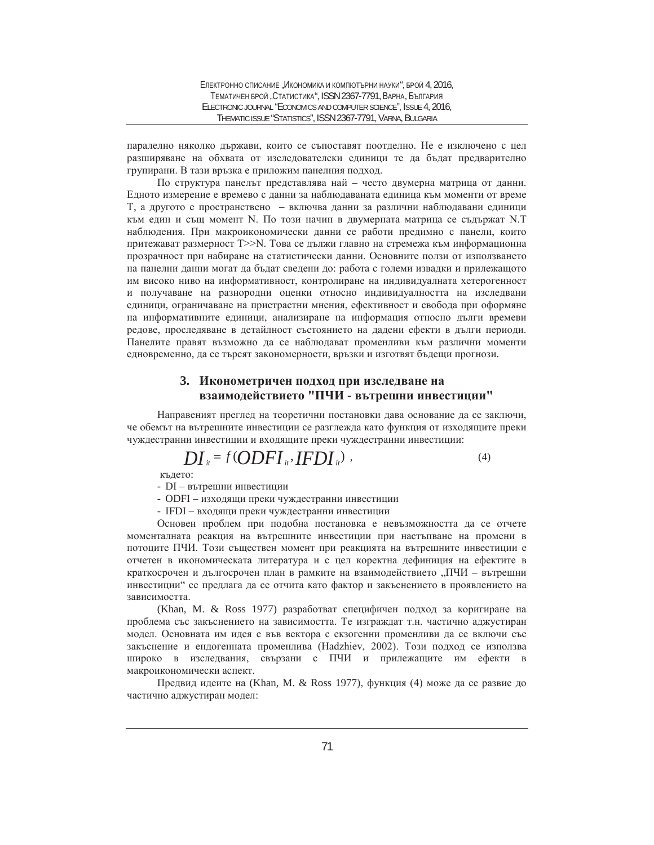паралелно няколко държави, които се съпоставят поотделно. Не е изключено с цел разширяване на обхвата от изследователски единици те да бъдат предварително групирани. В тази връзка е приложим панелния подход.

По структура панелът представлява най – често двумерна матрица от данни. Едното измерение е времево с данни за наблюдаваната единица към моменти от време Т, а другото е пространствено – включва данни за различни наблюдавани единици към един и същ момент N. По този начин в двумерната матрица се съдържат N.T наблюдения. При макроикономически данни се работи предимно с панели, които притежават размерност Т>> N. Това се дължи главно на стремежа към информационна прозрачност при набиране на статистически данни. Основните ползи от използването на панелни данни могат да бъдат сведени до: работа с големи извадки и прилежащото им високо ниво на информативност, контролиране на индивидуалната хетерогенност и получаване на разнородни оценки относно индивидуалността на изследвани единици, ограничаване на пристрастни мнения, ефективност и свобода при оформяне на информативните единици, анализиране на информация относно дълги времеви редове, проследяване в детайлност състоянието на дадени ефекти в дълги периоди. Панелите правят възможно да се наблюдават променливи към различни моменти едновременно, да се търсят закономерности, връзки и изготвят бъдещи прогнози.

### 3. Иконометричен подход при изследване на взаимодействието "ПЧИ - вътрешни инвестиции"

Направеният преглед на теоретични постановки дава основание да се заключи, че обемът на вътрешните инвестиции се разглежда като функция от изходящите преки чуждестранни инвестиции и входящите преки чуждестранни инвестиции:

$$
DI_{u} = f(ODFI_{u}, IFDI_{u}) , \qquad (4)
$$

кълето:

- DI – вътрешни инвестиции

- ODFI – изходящи преки чуждестранни инвестиции

- IFDI – входящи преки чуждестранни инвестиции

Основен проблем при подобна постановка е невъзможността да се отчете моменталната реакция на вътрешните инвестиции при настъпване на промени в потоците ПЧИ. Този съществен момент при реакцията на вътрешните инвестиции е отчетен в икономическата литература и с цел коректна дефиниция на ефектите в краткосрочен и дългосрочен план в рамките на взаимодействието "ПЧИ – вътрешни инвестиции" се предлага да се отчита като фактор и закъснението в проявлението на зависимостта.

(Khan, M. & Ross 1977) разработват специфичен подход за коригиране на проблема със закъснението на зависимостта. Те изграждат т.н. частично аджустиран модел. Основната им идея е във вектора с екзогенни променливи да се включи със закъснение и ендогенната променлива (Hadzhiev, 2002). Този подход се използва широко в изследвания, свързани с ПЧИ и прилежащите им ефекти в макроикономически аспект.

Предвид идеите на (Khan, M. & Ross 1977), функция (4) може да се развие до частично аджустиран модел: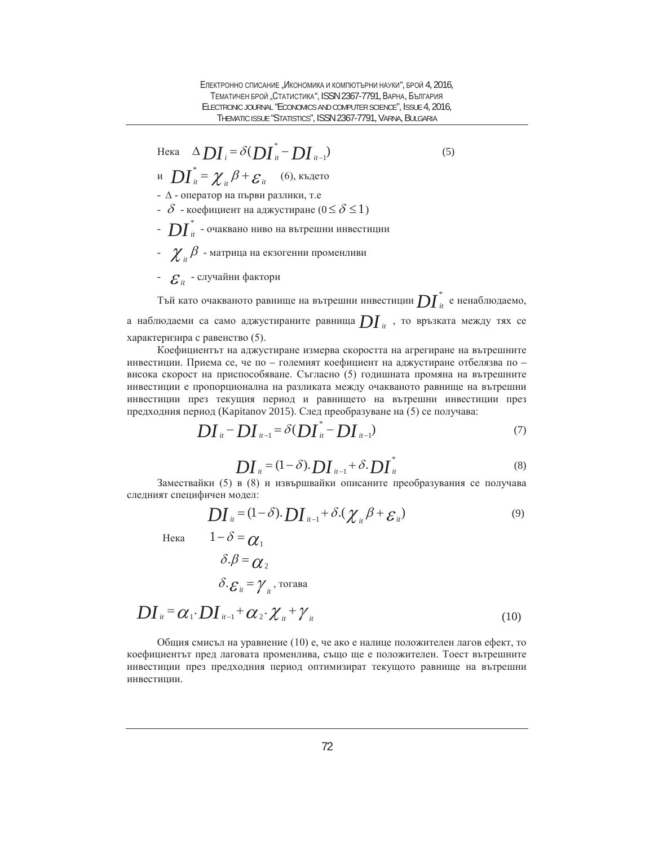$$
\text{Hexa} \quad \Delta \, \mathbf{D} \mathbf{I}_{i} = \delta (\mathbf{D} \mathbf{I}_{it}^{*} - \mathbf{D} \mathbf{I}_{it-1})
$$
\n
$$
\text{H} \quad \mathbf{D} \mathbf{I}_{it}^{*} = \chi_{it} \beta + \varepsilon_{it} \quad (6), \text{Kb} \text{ after } 0
$$
\n
$$
\text{(5)}
$$

- $-\Delta$  оператор на първи разлики, т.е
- $\delta$  коефициент на аджустиране ( $0 \leq \delta \leq 1$ )
- $\cdot \; D\!I^{^*}_{\hskip-1.2mm \scriptscriptstyle H}$  очаквано ниво на вътрешни инвестиции
- $\ \boldsymbol{\chi}_{_{\boldsymbol{i}\boldsymbol{i}}} \beta$  матрица на екзогенни променливи
- $\cdot$   $\mathcal{E}_{it}$  случайни фактори

Тъй като очакваното равнище на вътрешни инвестиции  $\bm{DI}^*_u$  е ненаблюдаемо, а наблюдаеми са само аджустираните равнища  $DI_{i}$ , то връзката между тях се характеризира с равенство (5).

Коефициентът на аджустиране измерва скоростта на агрегиране на вътрешните инвестиции. Приема се, че по - големият коефициент на аджустиране отбелязва по висока скорост на приспособяване. Съгласно (5) годишната промяна на вътрешните инвестиции е пропорционална на разликата между очакваното равнище на вътрешни инвестиции през текущия период и равнището на вътрешни инвестиции през предходния период (Kapitanov 2015). След преобразуване на (5) се получава:

$$
DI_{it} - DI_{it-1} = \delta(DI_{it}^* - DI_{it-1})
$$
\n(7)

$$
DI_{it} = (1 - \delta) \cdot DI_{it-1} + \delta \cdot DI_{it} \tag{8}
$$

Замествайки (5) в (8) и извършвайки описаните преобразувания се получава следният специфичен модел:

$$
DI_{it} = (1 - \delta) \cdot DI_{it-1} + \delta \cdot (\chi_{it} \beta + \varepsilon_{it})
$$
\n(9)

Heka  $1-\delta = \alpha_1$ 

$$
\delta.\beta = \mathcal{O}_2
$$
  

$$
\delta.\mathcal{E}_u = \mathcal{V}_u, \text{rorasa}
$$

$$
DI_{u} = \alpha_{1} \cdot DI_{u-1} + \alpha_{2} \cdot \chi_{u} + \gamma_{u}
$$
\n<sup>(10)</sup>

Общия смисъл на уравнение (10) е, че ако е налице положителен лагов ефект, то коефициентът пред лаговата променлива, също ще е положителен. Тоест вътрешните инвестиции през предходния период оптимизират текущото равнище на вътрешни инвестиции.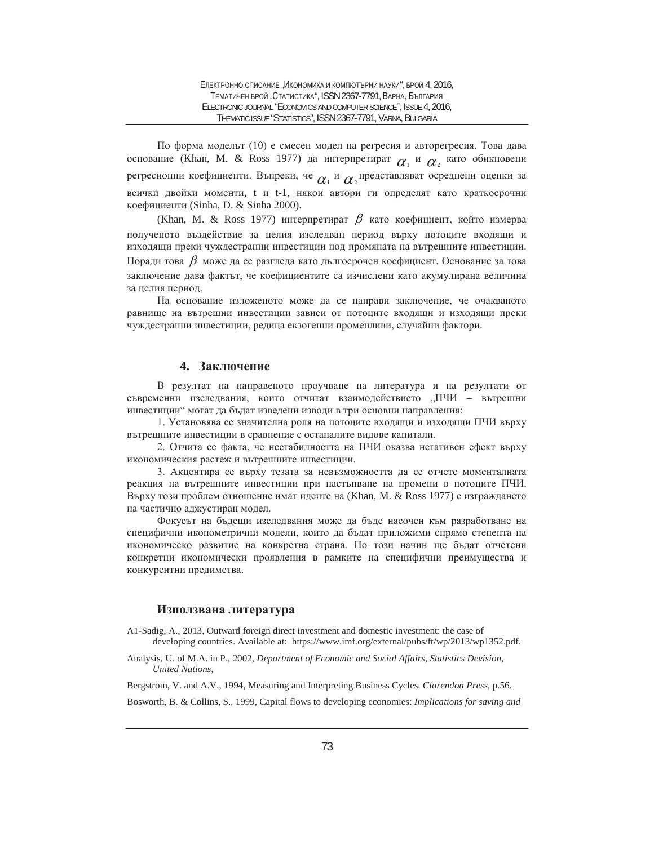По форма моделът (10) е смесен модел на регресия и авторегресия. Това дава основание (Khan, M. & Ross 1977) да интерпретират  $\alpha_1$  и  $\alpha_2$  като обикновени регресионни коефициенти. Въпреки, че  $\alpha_{\text{\tiny{1}}}$  и  $\alpha_{\text{\tiny{2}}}$ представляват осреднени оценки за всички двойки моменти, t и t-1, някои автори ги определят като краткосрочни коефициенти (Sinha, D. & Sinha 2000).

(Khan, M. & Ross 1977) интерпретират  $\beta$  като коефициент, който измерва полученото въздействие за целия изследван период върху потоците входящи и изходящи преки чуждестранни инвестиции под промяната на вътрешните инвестиции. Поради това  $\beta$  може да се разгледа като дългосрочен коефициент. Основание за това заключение дава фактът, че коефициентите са изчислени като акумулирана величина за целия период.

На основание изложеното може да се направи заключение, че очакваното равнище на вътрешни инвестиции зависи от потоците входящи и изходящи преки чуждестранни инвестиции, редица екзогенни променливи, случайни фактори.

#### **4.** Заключение

В резултат на направеното проучване на литература и на резултати от съвременни изследвания, които отчитат взаимодействието "ПЧИ – вътрешни инвестиции" могат да бъдат изведени изводи в три основни направления:

1. Установява се значителна роля на потоците входящи и изходящи ПЧИ върху вътрешните инвестиции в сравнение с останалите видове капитали.

2. Отчита се факта, че нестабилността на ПЧИ оказва негативен ефект върху икономическия растеж и вътрешните инвестиции.

3. Акцентира се върху тезата за невъзможността да се отчете моменталната реакция на вътрешните инвестиции при настъпване на промени в потоците ПЧИ. Върху този проблем отношение имат идеите на (Khan, M. & Ross 1977) с изграждането на частично аджустиран модел.

Фокусът на бъдещи изследвания може да бъде насочен към разработване на специфични иконометрични модели, които да бъдат приложими спрямо степента на икономическо развитие на конкретна страна. По този начин ще бъдат отчетени конкретни икономически проявления в рамките на специфични преимущества и конкурентни предимства.

#### **Използвана литература**

- A1-Sadig, A., 2013, Outward foreign direct investment and domestic investment: the case of developing countries. Available at: https://www.imf.org/external/pubs/ft/wp/2013/wp1352.pdf.
- Analysis, U. of M.A. in P., 2002, *Department of Economic and Social Affairs, Statistics Devision, United Nations*,

Bergstrom, V. and A.V., 1994, Measuring and Interpreting Business Cycles. *Clarendon Press*, p.56.

Bosworth, B. & Collins, S., 1999, Capital flows to developing economies: *Implications for saving and*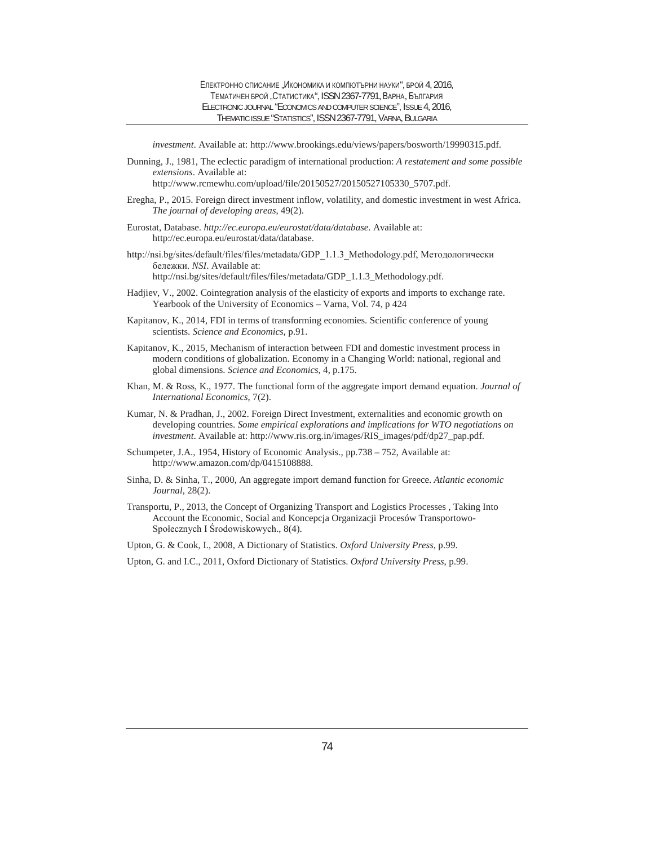*investment*. Available at: http://www.brookings.edu/views/papers/bosworth/19990315.pdf.

Dunning, J., 1981, The eclectic paradigm of international production: *A restatement and some possible extensions*. Available at:

http://www.rcmewhu.com/upload/file/20150527/20150527105330\_5707.pdf.

- Eregha, P., 2015. Foreign direct investment inflow, volatility, and domestic investment in west Africa. *The journal of developing areas*, 49(2).
- Eurostat, Database. *http://ec.europa.eu/eurostat/data/database*. Available at: http://ec.europa.eu/eurostat/data/database.
- http://nsi.bg/sites/default/files/files/metadata/GDP 1.1.3 Methodology.pdf, Методологически бележки. NSI. Available at: http://nsi.bg/sites/default/files/files/metadata/GDP\_1.1.3\_Methodology.pdf.
- Hadjiev, V., 2002. Cointegration analysis of the elasticity of exports and imports to exchange rate. Yearbook of the University of Economics – Varna, Vol. 74, p 424
- Kapitanov, K., 2014, FDI in terms of transforming economies. Scientific conference of young scientists. *Science and Economics*, p.91.
- Kapitanov, K., 2015, Mechanism of interaction between FDI and domestic investment process in modern conditions of globalization. Economy in a Changing World: national, regional and global dimensions. *Science and Economics*, 4, p.175.
- Khan, M. & Ross, K., 1977. The functional form of the aggregate import demand equation. *Journal of International Economics*, 7(2).
- Kumar, N. & Pradhan, J., 2002. Foreign Direct Investment, externalities and economic growth on developing countries. *Some empirical explorations and implications for WTO negotiations on investment*. Available at: http://www.ris.org.in/images/RIS\_images/pdf/dp27\_pap.pdf.
- Schumpeter, J.A., 1954, History of Economic Analysis., pp.738 752, Available at: http://www.amazon.com/dp/0415108888.
- Sinha, D. & Sinha, T., 2000, An aggregate import demand function for Greece. *Atlantic economic Journal*, 28(2).
- Transportu, P., 2013, the Concept of Organizing Transport and Logistics Processes , Taking Into Account the Economic, Social and Koncepcja Organizacji Procesów Transportowo-Społecznych I Środowiskowych., 8(4).

Upton, G. & Cook, I., 2008, A Dictionary of Statistics. *Oxford University Press*, p.99.

Upton, G. and I.C., 2011, Oxford Dictionary of Statistics. *Oxford University Press*, p.99.